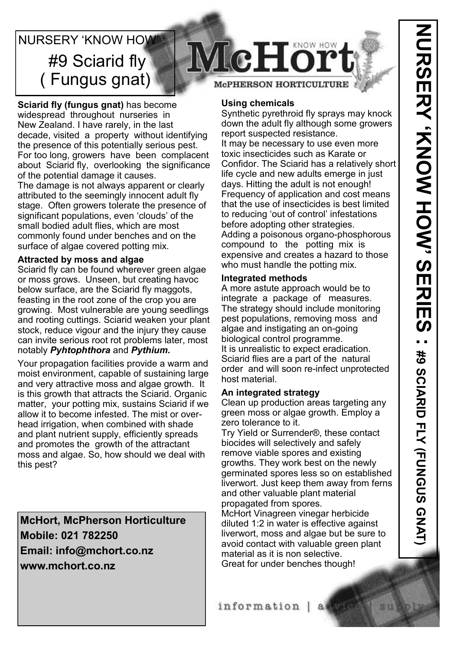# NURSERY 'KNOW HOW #9 Sciarid fly ( Fungus gnat)

**Sciarid fly (fungus gnat)** has become widespread throughout nurseries in New Zealand. I have rarely, in the last decade, visited a property without identifying the presence of this potentially serious pest. For too long, growers have been complacent about Sciarid fly, overlooking the significance of the potential damage it causes.

The damage is not always apparent or clearly attributed to the seemingly innocent adult fly stage. Often growers tolerate the presence of significant populations, even 'clouds' of the small bodied adult flies, which are most commonly found under benches and on the surface of algae covered potting mix.

### **Attracted by moss and algae**

Sciarid fly can be found wherever green algae or moss grows. Unseen, but creating havoc below surface, are the Sciarid fly maggots, feasting in the root zone of the crop you are growing. Most vulnerable are young seedlings and rooting cuttings. Sciarid weaken your plant stock, reduce vigour and the injury they cause can invite serious root rot problems later, most notably *Pyhtophthora* and *Pythium.*

Your propagation facilities provide a warm and moist environment, capable of sustaining large and very attractive moss and algae growth. It is this growth that attracts the Sciarid. Organic matter, your potting mix, sustains Sciarid if we allow it to become infested. The mist or overhead irrigation, when combined with shade and plant nutrient supply, efficiently spreads and promotes the growth of the attractant moss and algae. So, how should we deal with this pest?

**McHort, McPherson Horticulture Mobile: 021 782250 Email: info@mchort.co.nz www.mchort.co.nz**



## **McPHERSON HORTICULTURE**

#### **Using chemicals**

Synthetic pyrethroid fly sprays may knock down the adult fly although some growers report suspected resistance. It may be necessary to use even more toxic insecticides such as Karate or Confidor. The Sciarid has a relatively short life cycle and new adults emerge in just days. Hitting the adult is not enough! Frequency of application and cost means that the use of insecticides is best limited to reducing 'out of control' infestations before adopting other strategies. Adding a poisonous organo-phosphorous compound to the potting mix is expensive and creates a hazard to those who must handle the potting mix.

### **Integrated methods**

A more astute approach would be to integrate a package of measures. The strategy should include monitoring pest populations, removing moss and algae and instigating an on-going biological control programme. It is unrealistic to expect eradication. Sciarid flies are a part of the natural order and will soon re-infect unprotected host material.

## **An integrated strategy**

Clean up production areas targeting any green moss or algae growth. Employ a zero tolerance to it.

Try Yield or Surrender®, these contact biocides will selectively and safely remove viable spores and existing growths. They work best on the newly germinated spores less so on established liverwort. Just keep them away from ferns and other valuable plant material propagated from spores.

McHort Vinagreen vinegar herbicide diluted 1:2 in water is effective against liverwort, moss and algae but be sure to avoid contact with valuable green plant material as it is non selective. Great for under benches though!